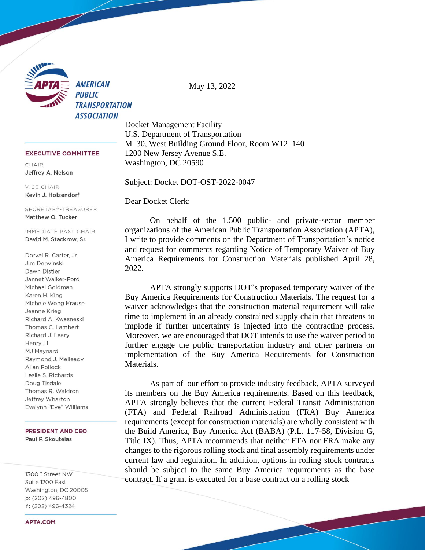

May 13, 2022

**EXECUTIVE COMMITTEE** 

CHAIR Jeffrey A. Nelson

VICE CHAIR Kevin J. Holzendorf

SECRETARY-TREASURER Matthew O. Tucker

IMMEDIATE PAST CHAIR David M. Stackrow, Sr.

Dorval R. Carter, Jr. Jim Derwinski Dawn Distler Jannet Walker-Ford Michael Goldman Karen H. King Michele Wong Krause Jeanne Krieg Richard A. Kwasneski Thomas C. Lambert Richard J. Leary Henry Li MJ Maynard Raymond J. Melleady Allan Pollock Leslie S. Richards Doug Tisdale Thomas R. Waldron Jeffrey Wharton Evalynn "Eve" Williams

**PRESIDENT AND CEO** Paul P. Skoutelas

1300 I Street NW Suite 1200 East Washington, DC 20005 p: (202) 496-4800 f: (202) 496-4324

Docket Management Facility U.S. Department of Transportation M–30, West Building Ground Floor, Room W12–140 1200 New Jersey Avenue S.E. Washington, DC 20590

Subject: Docket DOT-OST-2022-0047

Dear Docket Clerk:

On behalf of the 1,500 public- and private-sector member organizations of the American Public Transportation Association (APTA), I write to provide comments on the Department of Transportation's notice and request for comments regarding Notice of Temporary Waiver of Buy America Requirements for Construction Materials published April 28, 2022.

APTA strongly supports DOT's proposed temporary waiver of the Buy America Requirements for Construction Materials. The request for a waiver acknowledges that the construction material requirement will take time to implement in an already constrained supply chain that threatens to implode if further uncertainty is injected into the contracting process. Moreover, we are encouraged that DOT intends to use the waiver period to further engage the public transportation industry and other partners on implementation of the Buy America Requirements for Construction Materials.

As part of our effort to provide industry feedback, APTA surveyed its members on the Buy America requirements. Based on this feedback, APTA strongly believes that the current Federal Transit Administration (FTA) and Federal Railroad Administration (FRA) Buy America requirements (except for construction materials) are wholly consistent with the Build America, Buy America Act (BABA) (P.L. 117-58, Division G, Title IX). Thus, APTA recommends that neither FTA nor FRA make any changes to the rigorous rolling stock and final assembly requirements under current law and regulation. In addition, options in rolling stock contracts should be subject to the same Buy America requirements as the base contract. If a grant is executed for a base contract on a rolling stock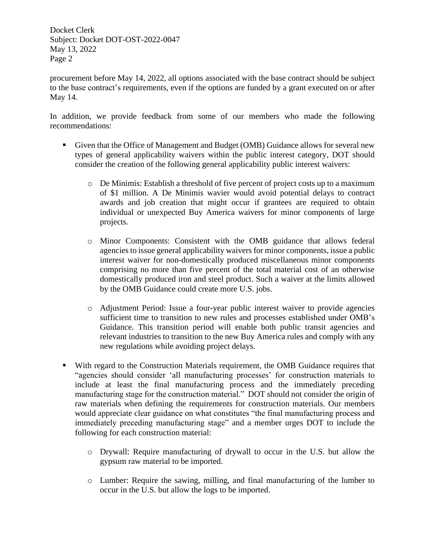Docket Clerk Subject: Docket DOT-OST-2022-0047 May 13, 2022 Page 2

procurement before May 14, 2022, all options associated with the base contract should be subject to the base contract's requirements, even if the options are funded by a grant executed on or after May 14.

In addition, we provide feedback from some of our members who made the following recommendations:

- Given that the Office of Management and Budget (OMB) Guidance allows for several new types of general applicability waivers within the public interest category, DOT should consider the creation of the following general applicability public interest waivers:
	- o De Minimis: Establish a threshold of five percent of project costs up to a maximum of \$1 million. A De Minimis wavier would avoid potential delays to contract awards and job creation that might occur if grantees are required to obtain individual or unexpected Buy America waivers for minor components of large projects.
	- o Minor Components: Consistent with the OMB guidance that allows federal agencies to issue general applicability waivers for minor components, issue a public interest waiver for non-domestically produced miscellaneous minor components comprising no more than five percent of the total material cost of an otherwise domestically produced iron and steel product. Such a waiver at the limits allowed by the OMB Guidance could create more U.S. jobs.
	- o Adjustment Period: Issue a four-year public interest waiver to provide agencies sufficient time to transition to new rules and processes established under OMB's Guidance. This transition period will enable both public transit agencies and relevant industries to transition to the new Buy America rules and comply with any new regulations while avoiding project delays.
- With regard to the Construction Materials requirement, the OMB Guidance requires that "agencies should consider 'all manufacturing processes' for construction materials to include at least the final manufacturing process and the immediately preceding manufacturing stage for the construction material." DOT should not consider the origin of raw materials when defining the requirements for construction materials. Our members would appreciate clear guidance on what constitutes "the final manufacturing process and immediately preceding manufacturing stage" and a member urges DOT to include the following for each construction material:
	- o Drywall: Require manufacturing of drywall to occur in the U.S. but allow the gypsum raw material to be imported.
	- o Lumber: Require the sawing, milling, and final manufacturing of the lumber to occur in the U.S. but allow the logs to be imported.